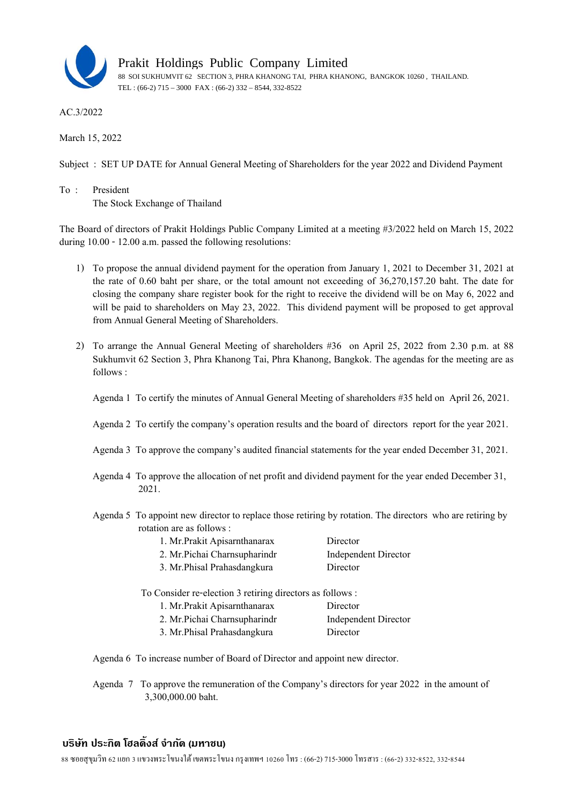

Prakit Holdings Public Company Limited

88 SOI SUKHUMVIT 62 SECTION 3, PHRA KHANONG TAI, PHRA KHANONG, BANGKOK 10260 , THAILAND. TEL : (66-2) 715 – 3000 FAX : (66-2) 332 – 8544, 332-8522

AC.3/2022

March 15, 2022

Subject : SET UP DATE for Annual General Meeting of Shareholders for the year 2022 and Dividend Payment

To : President The Stock Exchange of Thailand

The Board of directors of Prakit Holdings Public Company Limited at a meeting #3/2022 held on March 15, 2022 during 10.00 - 12.00 a.m. passed the following resolutions:

- 1) To propose the annual dividend payment for the operation from January 1, 2021 to December 31, 2021 at the rate of 0.60 baht per share, or the total amount not exceeding of 36,270,157.20 baht. The date for closing the company share register book for the right to receive the dividend will be on May 6, 2022 and will be paid to shareholders on May 23, 2022. This dividend payment will be proposed to get approval from Annual General Meeting of Shareholders.
- 2) To arrange the Annual General Meeting of shareholders #36 on April 25, 2022 from 2.30 p.m. at 88 Sukhumvit 62 Section 3, Phra Khanong Tai, Phra Khanong, Bangkok. The agendas for the meeting are as follows :
	- Agenda 1 To certify the minutes of Annual General Meeting of shareholders #35 held on April 26, 2021.
	- Agenda 2 To certify the company's operation results and the board of directors report for the year 2021.
	- Agenda 3 To approve the company's audited financial statements for the year ended December 31, 2021.
	- Agenda 4 To approve the allocation of net profit and dividend payment for the year ended December 31, 2021.
	- Agenda 5 To appoint new director to replace those retiring by rotation. The directors who are retiring by rotation are as follows :

| 1. Mr. Prakit Apisamthanarax  | Director             |
|-------------------------------|----------------------|
| 2. Mr. Pichai Charnsupharindr | Independent Director |
| 3. Mr. Phisal Prahasdangkura  | Director             |

To Consider re-election 3 retiring directors as follows :

| Director             |
|----------------------|
| Independent Director |
| Director             |
|                      |

Agenda 6 To increase number of Board of Director and appoint new director.

Agenda 7 To approve the remuneration of the Company's directors for year 2022 in the amount of 3,300,000.00 baht.

## **บรษิทั ประกิต โฮลด้ิงส์จํากดั (มหาชน)**

88 ซอยสุขมวุ ทิ 62 แยก 3 แขวงพระโขนงใต้เขตพระโขนงกรุงเทพฯ 10260 โทร : (66-2) 715-3000โทรสาร : (66-2) 332-8522, 332-8544